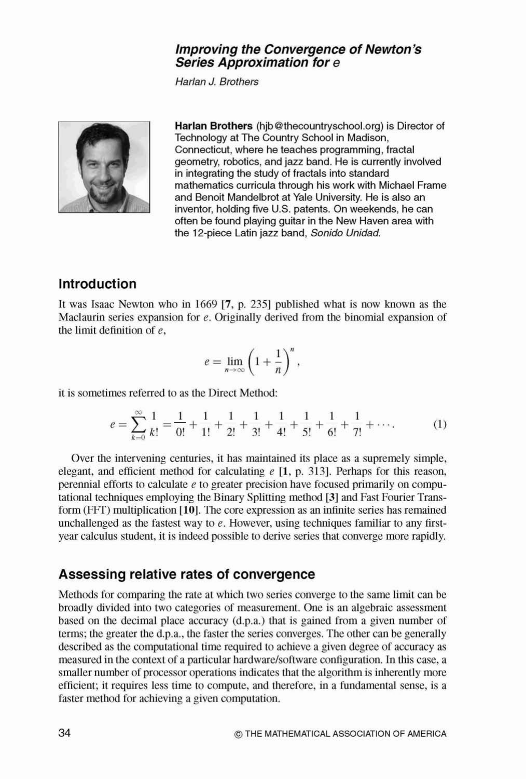### **Improving the Convergence of Newton's Series Approximation for** e

Harlan J. Brothers



**Harlan Brothers** (hjb @thecountryschool.org) is Director of Technology at The Country School in Madison, Connecticut, where he teaches programming, fractal geometry, robotics, and jazz band. He is currently involved in integrating the study of fractals into standard mathematics curricula through his work with Michael Frame and Benoit Mandelbrot at Yale University. He is also an inventor, holding five U.S. patents. On weekends, he can often be found playing guitar in the New Haven area with the 12-piece Latin jazz band, Sonido Unidad.

## **Introduction**

It was Isaac Newton who in 1669 **[7,** p. 2351 published what is now known as the Maclaurin series expansion for e. Originally derived from the binomial expansion of the limit definition of *e,* 

$$
e=\lim_{n\to\infty}\left(1+\frac{1}{n}\right)^n,
$$

it is sometimes referred to as the Direct Method:

$$
e = \sum_{k=0}^{\infty} \frac{1}{k!} = \frac{1}{0!} + \frac{1}{1!} + \frac{1}{2!} + \frac{1}{3!} + \frac{1}{4!} + \frac{1}{5!} + \frac{1}{6!} + \frac{1}{7!} + \cdots
$$
 (1)

Over the intervening centuries, it has maintained its place as a supremely simple, elegant, and efficient method for calculating  $e$  [1, p. 313]. Perhaps for this reason, perennial efforts to calculate e to greater precision have focused primarily on computational techniques employing the Binary Splitting method [3] and Fast Fourier Transform  $(FFT)$  multiplication  $[10]$ . The core expression as an infinite series has remained unchallenged as the fastest way to  $e$ . However, using techniques familiar to any firstyear calculus student, it is indeed possible to derive series that converge more rapidly.

### **Assessing relative rates of convergence**

Methods for comparing the rate at which two series converge to the same limit can be broadly divided into two categories of measurement. One is an algebraic assessment based on the decimal place accuracy (d.p.a.) that is gained from a given number of terms; the greater the d.p.a., the faster the series converges. The other can be generally described as the computational time required to achieve a given degree of accuracy as measured in the context of a particular hardwarelsoftware configuration. In this case, a smaller number of processor operations indicates that the algorithm is inherently more efficient; it requires less time to compute, and therefore, in a fundamental sense, is a faster method for achieving a given computation.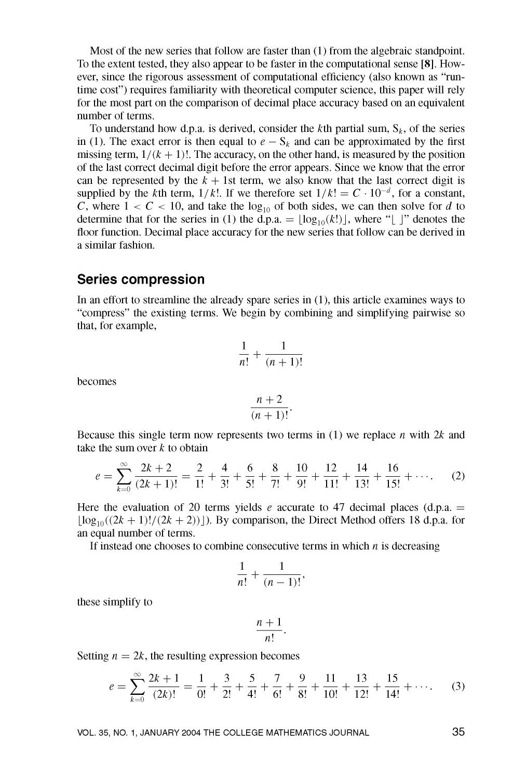Most of the new series that follow are faster than (1) from the algebraic standpoint. To the extent tested, they also appear to be faster in the computational sense [8]. However, since the rigorous assessment of computational efficiency (also known as "runtime cost") requires familiarity with theoretical computer science, this paper will rely for the most part on the comparison of decimal place accuracy based on an equivalent number of terms.

To understand how d.p.a. is derived, consider the kth partial sum,  $S_k$ , of the series in (1). The exact error is then equal to  $e - S_k$  and can be approximated by the first missing term,  $1/(k + 1)!$ . The accuracy, on the other hand, is measured by the position of the last correct decimal digit before the error appears. Since we know that the error can be represented by the  $k + 1$ st term, we also know that the last correct digit is supplied by the kth term,  $1/k!$ . If we therefore set  $1/k! = C \cdot 10^{-d}$ , for a constant, C, where  $1 < C < 10$ , and take the  $log_{10}$  of both sides, we can then solve for d to determine that for the series in (1) the d.p.a. =  $|\log_{10}(k!)|$ , where "| |" denotes the floor function. Decimal place accuracy for the new series that follow can be derived in a similar fashion.

### **Series compression**

In an effort to streamline the already spare series in  $(1)$ , this article examines ways to "compress" the existing terms. We begin by combining and simplifying pairwise so that, for example,

$$
\frac{1}{n!} + \frac{1}{(n+1)!}
$$

becomes

$$
\frac{n+2}{(n+1)!}.
$$

Because this single term now represents two terms in (1) we replace *n* with 2k and take the sum over  $k$  to obtain

$$
e = \sum_{k=0}^{\infty} \frac{2k+2}{(2k+1)!} = \frac{2}{1!} + \frac{4}{3!} + \frac{6}{5!} + \frac{8}{7!} + \frac{10}{9!} + \frac{12}{11!} + \frac{14}{13!} + \frac{16}{15!} + \cdots
$$
 (2)

Here the evaluation of 20 terms yields e accurate to 47 decimal places (d.p.a.  $=$  $\lfloor \log_{10}((2k+1)!/(2k+2)) \rfloor$ ). By comparison, the Direct Method offers 18 d.p.a. for an equal number of terms.

If instead one chooses to combine consecutive terms in which  $n$  is decreasing

$$
\frac{1}{n!} + \frac{1}{(n-1)!},
$$

these simplify to

$$
\frac{n+1}{n!}.
$$

Setting  $n = 2k$ , the resulting expression becomes

$$
e = \sum_{k=0}^{\infty} \frac{2k+1}{(2k)!} = \frac{1}{0!} + \frac{3}{2!} + \frac{5}{4!} + \frac{7}{6!} + \frac{9}{8!} + \frac{11}{10!} + \frac{13}{12!} + \frac{15}{14!} + \cdots
$$
 (3)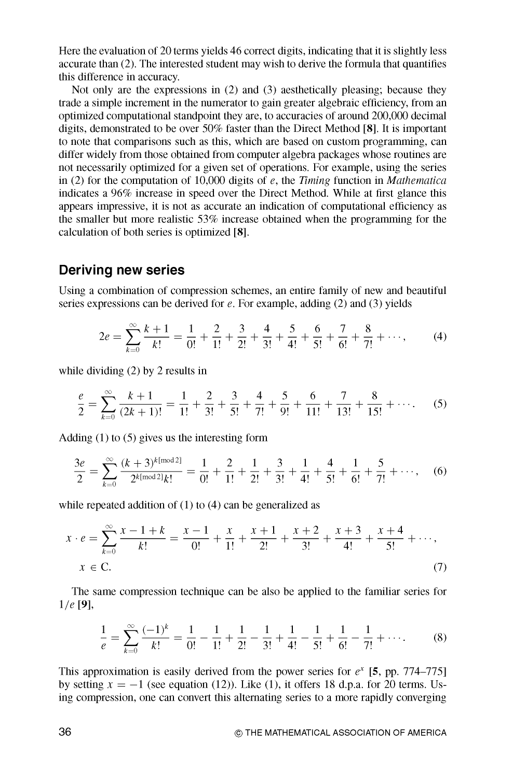Here the evaluation of 20 terms yields 46 correct digits, indicating that it is slightly less accurate than (2). The interested student may wish to derive the formula that quantifies this difference in accuracy.

Not only are the expressions in (2) and (3) aesthetically pleasing; because they trade a simple increment in the numerator to gain greater algebraic efficiency, from an optimized computational standpoint they are, to accuracies of around 200,000 decimal digits, demonstrated to be over  $50\%$  faster than the Direct Method [8]. It is important to note that comparisons such as this, which are based on custom programming, can differ widely from those obtained from computer algebra packages whose routines are not necessarily optimized for a given set of operations. For example, using the series in (2) for the computation of 10,000 digits of e, the Timing function in Mathematica indicates a 96% increase in speed over the Direct Method. While at first glance this appears impressive, it is not as accurate an indication of computational efficiency as the smaller but more realistic 53% increase obtained when the programming for the calculation of both series is optimized [8].

#### **Deriving new series**

Using a combination of compression schemes, an entire family of new and beautiful series expressions can be derived for  $e$ . For example, adding (2) and (3) yields

$$
2e = \sum_{k=0}^{\infty} \frac{k+1}{k!} = \frac{1}{0!} + \frac{2}{1!} + \frac{3}{2!} + \frac{4}{3!} + \frac{5}{4!} + \frac{6}{5!} + \frac{7}{6!} + \frac{8}{7!} + \cdots,
$$
 (4)

while dividing  $(2)$  by 2 results in

$$
\frac{e}{2} = \sum_{k=0}^{\infty} \frac{k+1}{(2k+1)!} = \frac{1}{1!} + \frac{2}{3!} + \frac{3}{5!} + \frac{4}{7!} + \frac{5}{9!} + \frac{6}{11!} + \frac{7}{13!} + \frac{8}{15!} + \cdots
$$
 (5)

Adding  $(1)$  to  $(5)$  gives us the interesting form

$$
\frac{3e}{2} = \sum_{k=0}^{\infty} \frac{(k+3)^{k \text{[mod 2]}}}{2^{k \text{[mod 2]}k!}} = \frac{1}{0!} + \frac{2}{1!} + \frac{1}{2!} + \frac{3}{3!} + \frac{1}{4!} + \frac{4}{5!} + \frac{5}{6!} + \frac{5}{7!} + \cdots, \quad (6)
$$

while repeated addition of  $(1)$  to  $(4)$  can be generalized as

$$
x \cdot e = \sum_{k=0}^{\infty} \frac{x-1+k}{k!} = \frac{x-1}{0!} + \frac{x}{1!} + \frac{x+1}{2!} + \frac{x+2}{3!} + \frac{x+3}{4!} + \frac{x+4}{5!} + \cdots,
$$
  

$$
x \in C.
$$
 (7)

The same compression technique can be also be applied to the familiar series for  $1/e$  [9],

$$
\frac{1}{e} = \sum_{k=0}^{\infty} \frac{(-1)^k}{k!} = \frac{1}{0!} - \frac{1}{1!} + \frac{1}{2!} - \frac{1}{3!} + \frac{1}{4!} - \frac{1}{5!} + \frac{1}{6!} - \frac{1}{7!} + \cdots
$$
 (8)

This approximation is easily derived from the power series for  $e^x$  [5, pp. 774–775] by setting  $x = -1$  (see equation (12)). Like (1), it offers 18 d.p.a. for 20 terms. Using compression, one can convert this alternating series to a more rapidly converging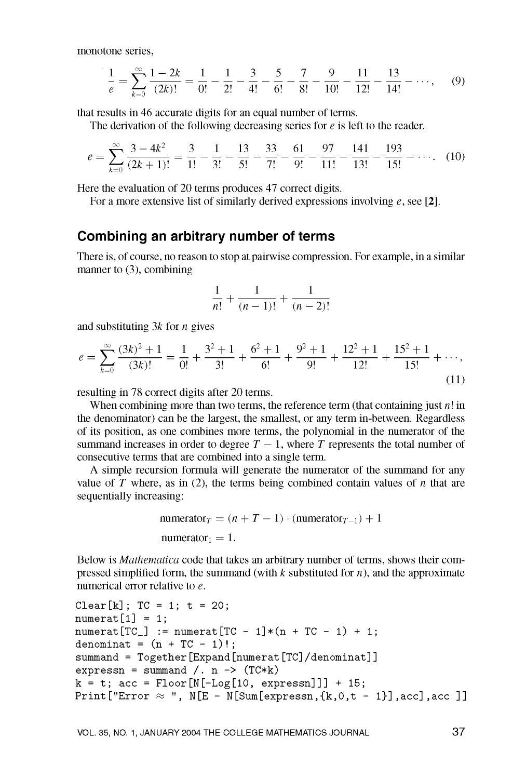monotone series.

$$
\frac{1}{e} = \sum_{k=0}^{\infty} \frac{1-2k}{(2k)!} = \frac{1}{0!} - \frac{1}{2!} - \frac{3}{4!} - \frac{5}{6!} - \frac{7}{8!} - \frac{9}{10!} - \frac{11}{12!} - \frac{13}{14!} - \cdots,
$$
 (9)

that results in 46 accurate digits for an equal number of terms.

The derivation of the following decreasing series for  $e$  is left to the reader.

$$
e = \sum_{k=0}^{\infty} \frac{3 - 4k^2}{(2k+1)!} = \frac{3}{1!} - \frac{1}{3!} - \frac{13}{5!} - \frac{33}{7!} - \frac{61}{9!} - \frac{97}{11!} - \frac{141}{13!} - \frac{193}{15!} - \cdots
$$
 (10)

Here the evaluation of 20 terms produces 47 correct digits.

For a more extensive list of similarly derived expressions involving  $e$ , see [2].

### Combining an arbitrary number of terms

There is, of course, no reason to stop at pairwise compression. For example, in a similar manner to  $(3)$ , combining

$$
\frac{1}{n!} + \frac{1}{(n-1)!} + \frac{1}{(n-2)!}
$$

and substituting  $3k$  for *n* gives

$$
e = \sum_{k=0}^{\infty} \frac{(3k)^2 + 1}{(3k)!} = \frac{1}{0!} + \frac{3^2 + 1}{3!} + \frac{6^2 + 1}{6!} + \frac{9^2 + 1}{9!} + \frac{12^2 + 1}{12!} + \frac{15^2 + 1}{15!} + \cdots,
$$
\n(11)

resulting in 78 correct digits after 20 terms.

When combining more than two terms, the reference term (that containing just  $n!$  in the denominator) can be the largest, the smallest, or any term in-between. Regardless of its position, as one combines more terms, the polynomial in the numerator of the summand increases in order to degree  $T-1$ , where T represents the total number of consecutive terms that are combined into a single term.

A simple recursion formula will generate the numerator of the summand for any value of T where, as in  $(2)$ , the terms being combined contain values of n that are sequentially increasing:

numerator<sub>T</sub> = 
$$
(n + T - 1) \cdot (numerator_{T-1}) + 1
$$
  
numerator<sub>1</sub> = 1.

Below is *Mathematica* code that takes an arbitrary number of terms, shows their compressed simplified form, the summand (with  $k$  substituted for  $n$ ), and the approximate numerical error relative to  $e$ .

```
Clear[k]; TC = 1; t = 20;
numerat[1] = 1;numerat [TC_] := numerat [TC - 1] * (n + TC - 1) + 1;denominat = (n + TC - 1)!;
summand = Together [Expand [numerat [TC]/denominat]]
expressn = summand /. n -> (TC*k)k = t; acc = Floor[N[-Log[10, expressn]]] + 15;
Print ["Error \approx ", N[E - N[Sum[expressn, {k, 0, t - 1}], acc], acc ]]
```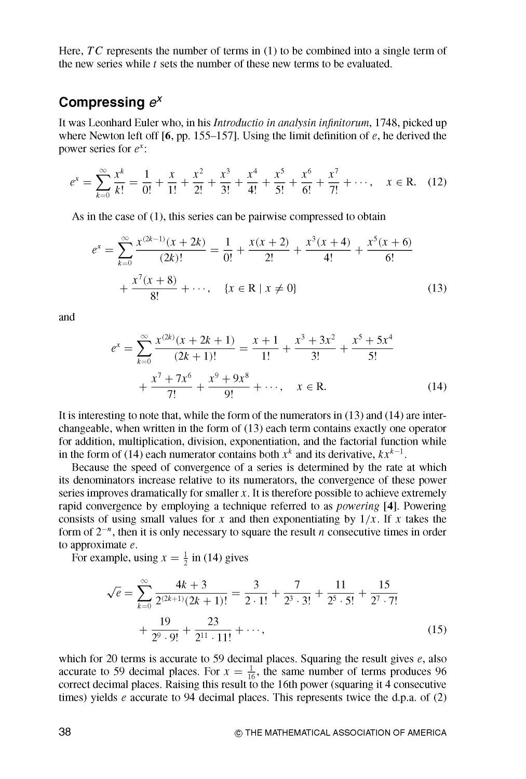Here,  $TC$  represents the number of terms in (1) to be combined into a single term of the new series while  $t$  sets the number of these new terms to be evaluated.

# Compressing  $e^x$

It was Leonhard Euler who, in his *Introductio in analysin infinitorum*, 1748, picked up where Newton left off [6, pp. 155–157]. Using the limit definition of  $e$ , he derived the power series for  $e^x$ :

$$
e^{x} = \sum_{k=0}^{\infty} \frac{x^{k}}{k!} = \frac{1}{0!} + \frac{x}{1!} + \frac{x^{2}}{2!} + \frac{x^{3}}{3!} + \frac{x^{4}}{4!} + \frac{x^{5}}{5!} + \frac{x^{6}}{6!} + \frac{x^{7}}{7!} + \cdots, \quad x \in \mathbb{R}.
$$
 (12)

As in the case of  $(1)$ , this series can be pairwise compressed to obtain

$$
e^{x} = \sum_{k=0}^{\infty} \frac{x^{(2k-1)}(x+2k)}{(2k)!} = \frac{1}{0!} + \frac{x(x+2)}{2!} + \frac{x^{3}(x+4)}{4!} + \frac{x^{5}(x+6)}{6!} + \frac{x^{7}(x+8)}{8!} + \cdots, \quad \{x \in \mathbb{R} \mid x \neq 0\}
$$
(13)

and

$$
e^{x} = \sum_{k=0}^{\infty} \frac{x^{(2k)}(x+2k+1)}{(2k+1)!} = \frac{x+1}{1!} + \frac{x^3+3x^2}{3!} + \frac{x^5+5x^4}{5!} + \frac{x^7+7x^6}{7!} + \frac{x^9+9x^8}{9!} + \cdots, \quad x \in \mathbb{R}.
$$
 (14)

It is interesting to note that, while the form of the numerators in  $(13)$  and  $(14)$  are interchangeable, when written in the form of  $(13)$  each term contains exactly one operator for addition, multiplication, division, exponentiation, and the factorial function while in the form of (14) each numerator contains both  $x^k$  and its derivative,  $kx^{k-1}$ .

Because the speed of convergence of a series is determined by the rate at which its denominators increase relative to its numerators, the convergence of these power series improves dramatically for smaller  $x$ . It is therefore possible to achieve extremely rapid convergence by employing a technique referred to as *powering* [4]. Powering consists of using small values for x and then exponentiating by  $1/x$ . If x takes the form of  $2^{-n}$ , then it is only necessary to square the result *n* consecutive times in order to approximate  $e$ .

For example, using  $x = \frac{1}{2}$  in (14) gives

$$
\sqrt{e} = \sum_{k=0}^{\infty} \frac{4k+3}{2^{(2k+1)}(2k+1)!} = \frac{3}{2 \cdot 1!} + \frac{7}{2^3 \cdot 3!} + \frac{11}{2^5 \cdot 5!} + \frac{15}{2^7 \cdot 7!} + \frac{19}{2^9 \cdot 9!} + \frac{23}{2^{11} \cdot 11!} + \cdots,
$$
\n(15)

which for 20 terms is accurate to 59 decimal places. Squaring the result gives *e*, also accurate to 59 decimal places. For  $x = \frac{1}{16}$ , the same number of terms produces 96 correct decimal places. Raising this result to the 16th power (squaring it 4 consecutive times) yields e accurate to 94 decimal places. This represents twice the d.p.a. of  $(2)$